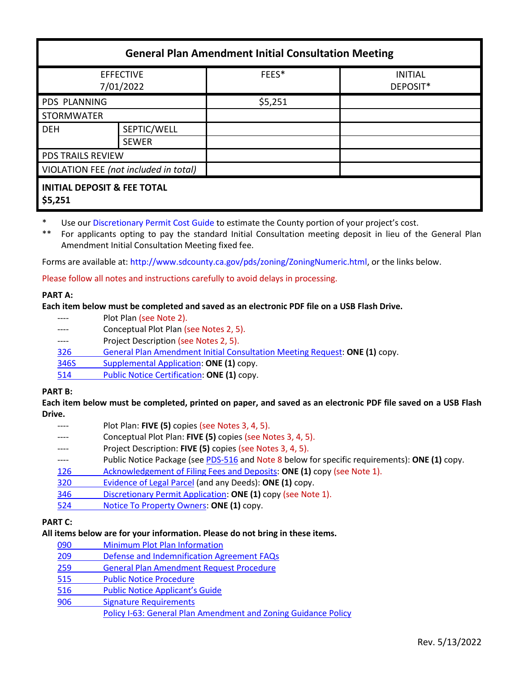| <b>General Plan Amendment Initial Consultation Meeting</b> |              |         |                            |
|------------------------------------------------------------|--------------|---------|----------------------------|
| <b>EFFECTIVE</b><br>7/01/2022                              |              | FEES*   | <b>INITIAL</b><br>DEPOSIT* |
| <b>PDS PLANNING</b>                                        |              | \$5,251 |                            |
| <b>STORMWATER</b>                                          |              |         |                            |
| <b>DEH</b>                                                 | SEPTIC/WELL  |         |                            |
|                                                            | <b>SEWER</b> |         |                            |
| <b>PDS TRAILS REVIEW</b>                                   |              |         |                            |
| VIOLATION FEE (not included in total)                      |              |         |                            |
| <b>INITIAL DEPOSIT &amp; FEE TOTAL</b><br>\$5,251          |              |         |                            |

- \* Use our [Discretionary Permit Cost Guide](http://www.sandiegocounty.gov/content/dam/sdc/pds/docs/Discretionary_Permit_Cost_Guide.xlsx) to estimate the County portion of your project's cost.
- \*\* For applicants opting to pay the standard Initial Consultation meeting deposit in lieu of the General Plan Amendment Initial Consultation Meeting fixed fee.

Forms are available at: [http://www.sdcounty.ca.gov/pds/zoning/ZoningNumeric.html,](http://www.sdcounty.ca.gov/pds/zoning/ZoningNumeric.html) or the links below.

Please follow all notes and instructions carefully to avoid delays in processing.

## **PART A:**

## **Each item below must be completed and saved as an electronic PDF file on a USB Flash Drive.**

- ---- Plot Plan (see Note 2).
- ---- Conceptual Plot Plan (see Notes 2, 5).
- ---- Project Description (see Notes 2, 5).
- 326 [General Plan Amendment Initial Consultation Meeting Request:](http://www.sdcounty.ca.gov/pds/zoning/formfields/PDS-PLN-326.pdf) **ONE (1)** copy.
- [346S Supplemental Application:](http://www.sdcounty.ca.gov/pds/zoning/formfields/PDS-PLN-346S.pdf) **ONE (1)** copy.
- 514 [Public Notice Certification:](http://www.sdcounty.ca.gov/pds/zoning/formfields/PDS-PLN-514.pdf) **ONE (1)** copy.

# **PART B:**

**Each item below must be completed, printed on paper, and saved as an electronic PDF file saved on a USB Flash Drive.**

- Plot Plan: **FIVE (5)** copies (see Notes 3, 4, 5).
- Conceptual Plot Plan: **FIVE (5)** copies (see Notes 3, 4, 5).
- Project Description: **FIVE (5)** copies (see Notes 3, 4, 5).
- ---- Public Notice Package (se[e PDS-516](https://www.sandiegocounty.gov/pds/zoning/formfields/PDS-PLN-516.pdf) and Note 8 below for specific requirements): **ONE (1)** copy.
- [126 Acknowledgement of Filing Fees and Deposits:](http://www.sdcounty.ca.gov/pds/zoning/formfields/PDS-PLN-126.pdf) **ONE (1)** copy (see Note 1).
- [320 Evidence of Legal Parcel](http://www.sdcounty.ca.gov/pds/zoning/formfields/PDS-PLN-320.pdf) (and any Deeds): **ONE (1)** copy.
- 346 [Discretionary Permit Application:](http://www.sdcounty.ca.gov/pds/zoning/formfields/PDS-PLN-346.pdf) **ONE (1)** copy (see Note 1).
- 524 [Notice To Property Owners:](http://www.sdcounty.ca.gov/pds/zoning/formfields/PDS-PLN-524.pdf) **ONE (1)** copy.

# **PART C:**

### **All items below are for your information. Please do not bring in these items.**

- 090 [Minimum Plot Plan Information](http://www.sdcounty.ca.gov/pds/docs/pds090.pdf)
- 209 [Defense and Indemnification Agreement FAQs](http://www.sdcounty.ca.gov/pds/zoning/formfields/PDS-PLN-209.pdf)
- 259 [General Plan Amendment Request Procedure](http://www.sdcounty.ca.gov/pds/zoning/formfields/PDS-PLN-259.pdf)
- [515 Public Notice Procedure](http://www.sdcounty.ca.gov/pds/zoning/formfields/PDS-PLN-515.pdf)
- 516 [Public Notice Applicant's Guide](http://www.sdcounty.ca.gov/pds/zoning/formfields/PDS-PLN-516.pdf)
- [906 Signature Requirements](http://www.sdcounty.ca.gov/pds/zoning/formfields/PDS-PLN-906.pdf) 
	- [Policy I-63: General Plan Amendment and Zoning Guidance Policy](http://www.sdcounty.ca.gov/cob/docs/policy/I-63.pdf)